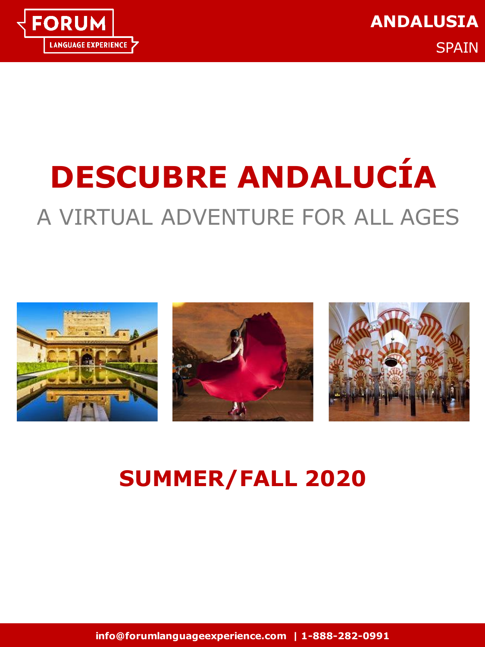

# **DESCUBRE ANDALUCÍA** A VIRTUAL ADVENTURE FOR ALL AGES



## **SUMMER/FALL 2020**

**info@forumlanguageexperience.com | 1-888-282-0991**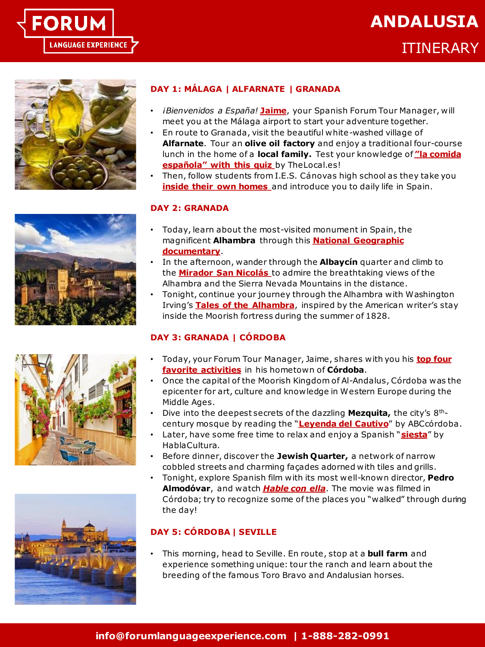

### **ANDALUSIA**

ITINERARY







#### **DAY 1: MÁLAGA | ALFARNATE | GRANADA**

- *¡Bienvenidos a España!* **[Jaime](https://bit.ly/JaimeTourIntro)**, your Spanish Forum Tour Manager, will meet you at the Málaga airport to start your adventure together.
- En route to Granada, visit the beautiful white-washed village of **Alfarnate**. Tour an **olive oil factory** and enjoy a traditional four-course lunch in the home of a **local family.** [Test your knowledge of](https://bit.ly/ComidaEspañolaTest) **"la comida española" with this quiz** by TheLocal.es!
- Then, follow students from I.E.S. Cánovas high school as they take you **[inside their own homes](https://bit.ly/ForumHomeTours)** and introduce you to daily life in Spain.

#### **DAY 2: GRANADA**

- Today, learn about the most-visited monument in Spain, the magnificent **Alhambra** through this **[National Geographic](https://bit.ly/AlhambraNationalGeographic)  documentary**.
- In the afternoon, wander through the **Albaycín** quarter and climb to the **[Mirador San Nicolás](https://bit.ly/MiradorSanNicolasMaps)** to admire the breathtaking views of the Alhambra and the Sierra Nevada Mountains in the distance.
- Tonight, continue your journey through the Alhambra with Washington Irving's **[Tales of the Alhambra](https://bit.ly/TalesOfTheAlhambra)**, inspired by the American writer's stay inside the Moorish fortress during the summer of 1828.

#### **DAY 3: GRANADA | CÓRDOBA**

- [Today, your Forum Tour Manager, Jaime, shares with you his](https://bit.ly/ForumJaimeCordoba) **top four favorite activities** in his hometown of **Córdoba**.
- Once the capital of the Moorish Kingdom of Al-Andalus, Córdoba was the epicenter for art, culture and knowledge in Western Europe during the Middle Ages.
- Dive into the deepest secrets of the dazzling **Mezquita,** the city's 8thcentury mosque by reading the "**[Leyenda del Cautivo](https://bit.ly/LeyendaDelCautivo)**" by ABCcórdoba.
- Later, have some free time to relax and enjoy a Spanish "**[siesta](https://bit.ly/SiestaPodcast)**" by HablaCultura.
- Before dinner, discover the **Jewish Quarter,** a network of narrow cobbled streets and charming façades adorned with tiles and grills.
- Tonight, explore Spanish film with its most well-known director, **Pedro Almodóvar**, and watch *Hable [con ella](https://bit.ly/IMDbHableConElla)*. The movie was filmed in Córdoba; try to recognize some of the places you "walked" through during the day!

#### **DAY 5: CÓRDOBA | SEVILLE**

• This morning, head to Seville. En route, stop at a **bull farm** and experience something unique: tour the ranch and learn about the breeding of the famous Toro Bravo and Andalusian horses.